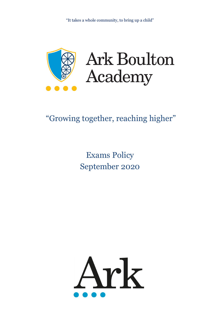

# "Growing together, reaching higher"

# Exams Policy September 2020

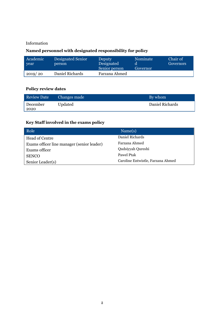## Information

# **Named personnel with designated responsibility for policy**

| Academic<br>vear | Designated Senior<br>person | <b>Deputy</b><br>Designated<br>Senior person | Nominate<br>Governor | Chair of<br>Governors |
|------------------|-----------------------------|----------------------------------------------|----------------------|-----------------------|
| 2019/20          | Daniel Richards             | Farzana Ahmed                                |                      |                       |

# **Policy review dates**

| Review Date      | Changes made | By whom         |
|------------------|--------------|-----------------|
| December<br>2020 | Updated      | Daniel Richards |

# **Key Staff involved in the exams policy**

| Role <sup>1</sup>                          | Name(s)                           |
|--------------------------------------------|-----------------------------------|
| <b>Head of Centre</b>                      | Daniel Richards                   |
| Exams officer line manager (senior leader) | Farzana Ahmed                     |
| Exams officer                              | Qudsiyyah Qureshi                 |
| <b>SENCO</b>                               | Pawel Ptak                        |
| Senior Leader(s)                           | Caroline Entwistle, Farzana Ahmed |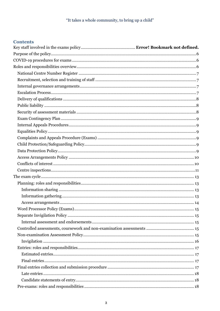# **Contents**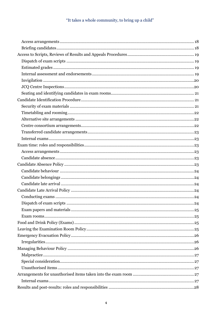| 24 |
|----|
|    |
|    |
|    |
|    |
|    |
|    |
|    |
|    |
|    |
|    |
|    |
|    |
|    |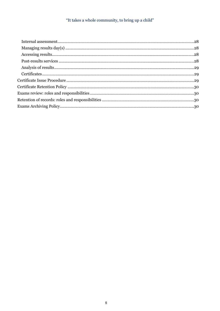# "It takes a whole community, to bring up a child"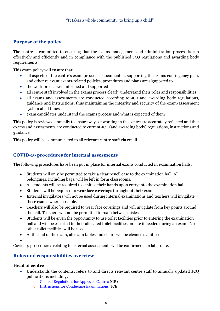# <span id="page-5-0"></span>**Purpose of the policy**

The centre is committed to ensuring that the exams management and administration process is run effectively and efficiently and in compliance with the published JCQ regulations and awarding body requirements.

This exam policy will ensure that:

- all aspects of the centre's exam process is documented, supporting the exams contingency plan, and other relevant exams-related policies, procedures and plans are signposted to
- the workforce is well informed and supported
- all centre staff involved in the exams process clearly understand their roles and responsibilities
- all exams and assessments are conducted according to JCQ and awarding body regulations, guidance and instructions, thus maintaining the integrity and security of the exam/assessment system at all times
- exam candidates understand the exams process and what is expected of them

This policy is reviewed annually to ensure ways of working in the centre are accurately reflected and that exams and assessments are conducted to current JCQ (and awarding body) regulations, instructions and guidance.

This policy will be communicated to all relevant centre staff via email.

## <span id="page-5-1"></span>**COVID-19 procedures for internal assesments**

The following procedures have been put in place for internal exams conducted in examination halls:

- Students will only be permitted to take a clear pencil case to the examination hall. All belongings, including bags, will be left in form classrooms.
- All students will be required to sanitise their hands upon entry into the examination hall.
- Students will be required to wear face coverings throughout their exam.
- External invigilators will not be used during internal examinations and teachers will invigilate these exams where possible.
- Teachers will also be required to wear face coverings and will invigilate from key points around the hall. Teachers will not be permitted to roam between aisles.
- Students will be given the opportunity to use toilet facilities prior to entering the examination hall and will be escorted to their allocated toilet facilities on-site if needed during an exam. No other toilet facilities will be used.
- At the end of the exam, all exam tables and chairs will be cleaned/sanitised.
- •

Covid-19 proceducres relating to external assessments will be confirmed at a later date.

# <span id="page-5-2"></span>**Roles and responsibilities overview**

# **Head of centre**

- Understands the contents, refers to and directs relevant centre staff to annually updated JCQ publications including:
	- o [General Regulations for Approved Centres](http://www.jcq.org.uk/exams-office/general-regulations) (GR)
	- o [Instructions for Conducting Examinations](http://www.jcq.org.uk/exams-office/ice---instructions-for-conducting-examinations) (ICE)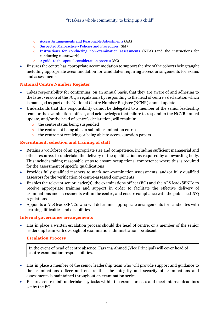- o [Access Arrangements and Reasonable Adjustments](http://www.jcq.org.uk/exams-office/access-arrangements-and-special-consideration/regulations-and-guidance) (AA)
- o [Suspected Malpractice -](http://www.jcq.org.uk/exams-office/malpractice) Policies and Procedures (SM)
- o [Instructions for conducting non-examination assessments](http://www.jcq.org.uk/exams-office/non-examination-assessments) (NEA) (and the instructions for conducting coursework)
- o [A guide to the special consideration process](http://www.jcq.org.uk/exams-office/access-arrangements-and-special-consideration/regulations-and-guidance) (SC)
- Ensures the centre has appropriate accommodation to support the size of the cohorts being taught including appropriate accommodation for candidates requiring access arrangements for exams and assessments

## <span id="page-6-0"></span>**National Centre Number Register**

- Takes responsibility for confirming, on an annual basis, that they are aware of and adhering to the latest version of the JCQ's regulations by responding to the head of centre's declaration which is managed as part of the National Centre Number Register (NCNR) annual update
- Understands that this responsibility cannot be delegated to a member of the senior leadership team or the examinations officer, and acknowledges that failure to respond to the NCNR annual update, and/or the head of centre's declaration, will result in:
	- o the centre status being suspended
	- o the centre not being able to submit examination entries
	- o the centre not receiving or being able to access question papers

## <span id="page-6-1"></span>**Recruitment, selection and training of staff**

- Retains a workforce of an appropriate size and competence, including sufficient managerial and other resource, to undertake the delivery of the qualification as required by an awarding body. This includes taking reasonable steps to ensure occupational competence where this is required for the assessment of specific qualifications
- Provides fully qualified teachers to mark non-examination assessments, and/or fully qualified assessors for the verification of centre-assessed components
- Enables the relevant senior leader(s), the examinations officer (EO) and the ALS lead/SENCo to receive appropriate training and support in order to facilitate the effective delivery of examinations and assessments within the centre, and ensure compliance with the published JCQ regulations
- Appoints a ALS lead/SENCo who will determine appropriate arrangements for candidates with learning difficulties and disabilities

#### <span id="page-6-2"></span>**Internal governance arrangements**

<span id="page-6-3"></span>• Has in place a written escalation process should the head of centre, or a member of the senior leadership team with oversight of examination administration, be absent

#### **Escalation Process**

In the event of head of centre absence, Farzana Ahmed (Vice Principal) will cover head of centre examination responsibilities.

- Has in place a member of the senior leadership team who will provide support and guidance to the examinations officer and ensure that the integrity and security of examinations and assessments is maintained throughout an examination series
- Ensures centre staff undertake key tasks within the exams process and meet internal deadlines set by the EO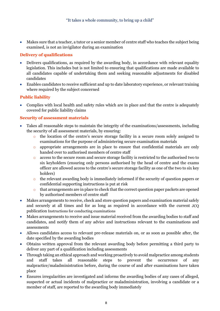• Makes sure that a teacher, a tutor or a senior member of centre staff who teaches the subject being examined, is not an invigilator during an examination

# <span id="page-7-0"></span>**Delivery of qualifications**

- Delivers qualifications, as required by the awarding body, in accordance with relevant equality legislation. This includes but is not limited to ensuring that qualifications are made available to all candidates capable of undertaking them and seeking reasonable adjustments for disabled candidates
- Enables candidates to receive sufficient and up to date laboratory experience, or relevant training where required by the subject concerned

# <span id="page-7-1"></span>**Public liability**

• Complies with local health and safety rules which are in place and that the centre is adequately covered for public liability claims

## <span id="page-7-2"></span>**Security of assessment materials**

- Takes all reasonable steps to maintain the integrity of the examinations/assessments, including the security of all assessment materials, by ensuring:
	- o the location of the centre's secure storage facility in a secure room solely assigned to examinations for the purpose of administering secure examination materials
	- o appropriate arrangements are in place to ensure that confidential materials are only handed over to authorised members of centre staff
	- o access to the secure room and secure storage facility is restricted to the authorised two to six keyholders (ensuring only persons authorised by the head of centre and the exams officer are allowed access to the centre's secure storage facility as one of the two to six key holders)
	- o the relevant awarding body is immediately informed if the security of question papers or confidential supporting instructions is put at risk
	- o that arrangements are in place to check that the correct question paper packets are opened by authorised members of centre staff
- Makes arrangements to receive, check and store question papers and examination material safely and securely at all times and for as long as required in accordance with the current JCQ publication Instructions for conducting examinations
- Makes arrangements to receive and issue material received from the awarding bodies to staff and candidates, and notify them of any advice and instructions relevant to the examinations and assessments
- Allows candidates access to relevant pre-release materials on, or as soon as possible after, the date specified by the awarding bodies
- Obtains written approval from the relevant awarding body before permitting a third party to deliver any part of a qualification including assessments
- Through taking an ethical approach and working proactively to avoid malpractice among students and staff takes all reasonable steps to prevent the occurrence of any malpractice/maladministration before, during the course of and after examinations have taken place
- Ensures irregularities are investigated and informs the awarding bodies of any cases of alleged, suspected or actual incidents of malpractice or maladministration, involving a candidate or a member of staff, are reported to the awarding body immediately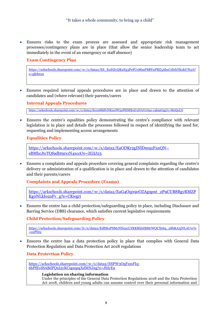• Ensures risks to the exam process are assessed and appropriate risk management processes/contingency plans are in place (that allow the senior leadership team to act immediately in the event of an emergency or staff absence)

## <span id="page-8-0"></span>**Exam Contingency Plan**

[https://arkschools.sharepoint.com/:w:/s/data2/ES\\_E0DZyQKxFg3PeFCnMmF8BYnPBZ5AbxCdIrhYKokUN2A?](https://arkschools.sharepoint.com/:w:/s/data2/ES_E0DZyQKxFg3PeFCnMmF8BYnPBZ5AbxCdIrhYKokUN2A?e=gK8nxn) [e=gK8nxn](https://arkschools.sharepoint.com/:w:/s/data2/ES_E0DZyQKxFg3PeFCnMmF8BYnPBZ5AbxCdIrhYKokUN2A?e=gK8nxn)

• Ensures required internal appeals procedures are in place and drawn to the attention of candidates and (where relevant) their parents/carers

#### <span id="page-8-1"></span>**Internal Appeals Procedures**

<https://arkschools.sharepoint.com/:w:/s/data2/Eeyni8kfSvNKuzrlW5oFlHMB1d72FJxUcttqs-y4k9zGqg?e=MnQnLO>

• Ensures the centre's equalities policy demonstrating the centre's compliance with relevant legislation is in place and details the processes followed in respect of identifying the need for, requesting and implementing access arrangements

#### <span id="page-8-2"></span>**Equalities Policy**

[https://arkschools.sharepoint.com/:w:/s/data2/EaODKr2gINlDm92FxnQN-](https://arkschools.sharepoint.com/:w:/s/data2/EaODKr2gINlDm92FxnQN--sBMhcJtcTQf9dbt9rs1N4xoA?e=ZGIJ23) [sBMhcJtcTQf9dbt9rs1N4xoA?e=ZGIJ23](https://arkschools.sharepoint.com/:w:/s/data2/EaODKr2gINlDm92FxnQN--sBMhcJtcTQf9dbt9rs1N4xoA?e=ZGIJ23)

• Ensures a complaints and appeals procedure covering general complaints regarding the centre's delivery or administration of a qualification is in place and drawn to the attention of candidates and their parents/carers

#### <span id="page-8-3"></span>**Complaints and Appeals Procedure (Exams)**

[https://arkschools.sharepoint.com/:w:/s/data2/EaG4Oq09oOZAg9pnt\\_2P9CUB8BgyRMZP](https://arkschools.sharepoint.com/:w:/s/data2/EaG4Oq09oOZAg9pnt_2P9CUB8BgyRMZPKg0NLkIo2aFv_g?e=CKwgri) [Kg0NLkIo2aFv\\_g?e=CKwgri](https://arkschools.sharepoint.com/:w:/s/data2/EaG4Oq09oOZAg9pnt_2P9CUB8BgyRMZPKg0NLkIo2aFv_g?e=CKwgri)

• Ensures the centre has a child protection/safeguarding policy in place, including Disclosure and Barring Service (DBS) clearance, which satisfies current legislative requirements

#### <span id="page-8-4"></span>**Child Protection/Safeguarding Policy**

[https://arkschools.sharepoint.com/:b:/s/data2/EdftKsPSMcNNuzcLYRKRhbIBMrWQCX6Iq\\_28bKA5jNLAUw?e](https://arkschools.sharepoint.com/:b:/s/data2/EdftKsPSMcNNuzcLYRKRhbIBMrWQCX6Iq_28bKA5jNLAUw?e=o2Phtu)  $=o2P$ htu

• Ensures the centre has a data protection policy in place that complies with General Data Protection Regulation and Data Protection Act 2018 regulations

#### <span id="page-8-5"></span>**Data Protection Policy**

[https://arkschools.sharepoint.com/:w:/s/data2/ESPW3OqF1mFIq-](https://arkschools.sharepoint.com/:w:/s/data2/ESPW3OqF1mFIq-6bPfEvdSABdPQuI2yKCsguqegXdMNJng?e=JhIyEu)[6bPfEvdSABdPQuI2yKCsguqegXdMNJng?e=JhIyEu](https://arkschools.sharepoint.com/:w:/s/data2/ESPW3OqF1mFIq-6bPfEvdSABdPQuI2yKCsguqegXdMNJng?e=JhIyEu)

#### **Legislation on sharing information**

Under the principles of the General Data Protection Regulations 2018 and the Data Protection Act 2018, children and young adults can assume control over their personal information and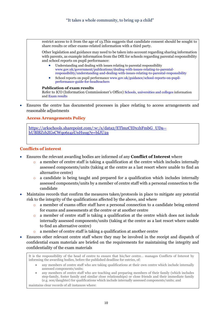restrict access to it from the age of 13.This suggests that candidate consent should be sought to share results or other exams-related information with a third party.

Other legislation and guidance may need to be taken into account regarding sharing information with parents, as example information from the DfE for schools regarding parental responsibility and school reports on pupil performance:

- Understanding and dealing with issues relating to parental responsibility [www.gov.uk/government/publications/dealing-with-issues-relating-to-parental](https://www.gov.uk/government/publications/dealing-with-issues-relating-to-parental-responsibility/understanding-and-dealing-with-issues-relating-to-parental-responsibility)[responsibility/understanding-and-dealing-with-issues-relating-to-parental-responsibility](https://www.gov.uk/government/publications/dealing-with-issues-relating-to-parental-responsibility/understanding-and-dealing-with-issues-relating-to-parental-responsibility)
- School reports on pupil performanc[e www.gov.uk/guidance/school-reports-on-pupil](https://www.gov.uk/guidance/school-reports-on-pupil-performance-guide-for-headteachers)[performance-guide-for-headteachers](https://www.gov.uk/guidance/school-reports-on-pupil-performance-guide-for-headteachers)

#### **Publication of exam results**

Refer to ICO (Information Commissioner's Office) [Schools, universities and colleges](https://ico.org.uk/your-data-matters/schools/) information and [Exam results](https://ico.org.uk/your-data-matters/schools/exam-results/)

• Ensures the centre has documented processes in place relating to access arrangements and reasonable adjustments

## <span id="page-9-0"></span>**Access Arrangements Policy**

[https://arkschools.sharepoint.com/:w:/s/data2/ETlmzCIDx1hFmbG\\_UDa-](https://arkschools.sharepoint.com/:w:/s/data2/ETlmzCIDx1hFmbG_UDa--hUBlBZ1hZGsCWqo6z4zUnHuug?e=blJU2a) [hUBlBZ1hZGsCWqo6z4zUnHuug?e=blJU2a](https://arkschools.sharepoint.com/:w:/s/data2/ETlmzCIDx1hFmbG_UDa--hUBlBZ1hZGsCWqo6z4zUnHuug?e=blJU2a)

## <span id="page-9-1"></span>**Conflicts of interest**

- Ensures the relevant awarding bodies are informed of any **Conflict of Interest** where
	- a member of centre staff is taking a qualification at the centre which includes internally assessed components/units (taking at the centre as a last resort where unable to find an alternative centre)
	- o a candidate is being taught and prepared for a qualification which includes internally assessed components/units by a member of centre staff with a personal connection to the candidate
- Maintains records that confirm the measures taken/protocols in place to mitigate any potential risk to the integrity of the qualifications affected by the above, and where
	- o a member of exams office staff have a personal connection to a candidate being entered for exams and assessments at the centre or at another centre
	- o a member of centre staff is taking a qualification at the centre which does not include internally assessed components/units (taking at the centre as a last resort where unable to find an alternative centre)
	- a member of centre staff is taking a qualification at another centre
- Ensures other relevant centre staff where they may be involved in the receipt and dispatch of confidential exam materials are briefed on the requirements for maintaining the integrity and confidentiality of the exam materials

It is the responsibility of the head of centre to ensure that his/her centre… manages Conflicts of Interest by informing the awarding bodies, before the published deadline for entries, of:

- any members of centre staff who are taking qualifications at their own centre which include internally assessed components/units;
- any members of centre staff who are teaching and preparing members of their family (which includes step-family, foster family and similar close relationships) or close friends and their immediate family (e.g. son/daughter) for qualifications which include internally assessed components/units; and

maintains clear records of all instances where: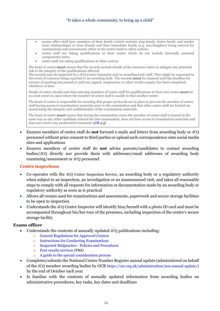## "It takes a whole community, to bring up a child"

- exams office staff have members of their family (which includes step-family, foster family and similar close relationships) or close friends and their immediate family (e.g. son/daughter) being entered for examinations and assessments either at the centre itself or other centres;
- centre staff are taking qualifications at their centre which do not include internally assessed components/units;
- centre staff are taking qualifications at other centres.

The head of centre **must** ensure that the records include details of the measures taken to mitigate any potential risk to the integrity of the qualifications affected.

The records may be inspected by a JCQ Centre Inspector and/or awarding body staff. They might be requested in the event of concerns being reported to an awarding body. The records **must** be retained until the deadline for reviews of marking has passed or until any appeal, malpractice or other results enquiry has been completed, whichever is later.

Heads of centre should note that entering members of centre staff for qualifications at their own centre **must** be as a last resort in cases where the member of centre staff is unable to find another centre.

The head of centre is responsible for ensuring that proper protocols are in place to prevent the member of centre staff having access to examination materials prior to the examination and that other centre staff are briefed on maintaining the integrity and confidentiality of the examination materials.

The head of centre **must** ensure that during the examination series the member of centre staff is treated in the same way as any other candidate entered for that examination, does not have access to examination materials and does not receive any preferential treatment. [\(GR](http://www.jcq.org.uk/exams-office/general-regulations) 5.3)

- Ensures members of centre staff do **not** forward e-mails and letters from awarding body or JCQ personnel without prior consent to third parties or upload such correspondence onto social media sites and applications
- Ensures members of centre staff do **not** advise parents/candidates to contact awarding bodies/JCQ directly nor provide them with addresses/email addresses of awarding body examining/assessment or JCQ personnel

#### <span id="page-10-0"></span>**Centre inspections**

- Co-operates with the JCQ Centre Inspection Service, an awarding body or a regulatory authority when subject to an inspection, an investigation or an unannounced visit, and takes all reasonable steps to comply with all requests for information or documentation made by an awarding body or regulatory authority as soon as is practical
- Allows all venues used for examinations and assessments, paperwork and secure storage facilities to be open to inspection
- Understands the JCQ Centre Inspector will identify him/herself with a photo ID card and must be accompanied throughout his/her tour of the premises, including inspection of the centre's secure storage facility

- Understands the contents of annually updated JCQ publications including:
	- o [General Regulations for Approved Centres](http://www.jcq.org.uk/exams-office/general-regulations)
	- o [Instructions for Conducting Examinations](http://www.jcq.org.uk/exams-office/ice---instructions-for-conducting-examinations)
	- o [Suspected Malpractice -](http://www.jcq.org.uk/exams-office/malpractice) Policies and Procedures
	- o [Post-results services](http://www.jcq.org.uk/exams-office/post-results-services) (PRS)
	- [A guide to the special consideration process](https://www.jcq.org.uk/exams-office/access-arrangements-and-special-consideration/regulations-and-guidance/)
- Completes/submits the National Centre Number Register annual update (administered on behalf of the JCQ member awarding bodies by OCR [https://ocr.org.uk/administration/ncn-annual-update/\)](https://ocr.org.uk/administration/ncn-annual-update/) by the end of October each year
- Is familiar with the contents of annually updated information from awarding bodies on administrative procedures, key tasks, key dates and deadlines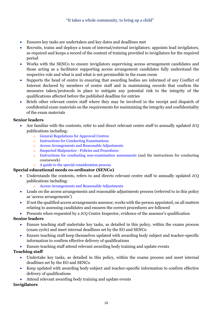- Ensures key tasks are undertaken and key dates and deadlines met
- Recruits, trains and deploys a team of internal/external invigilators; appoints lead invigilators, as required and keeps a record of the content of training provided to invigilators for the required period
- Works with the SENCo to ensure invigilators supervising access arrangement candidates and those acting as a facilitator supporting access arrangement candidates fully understand the respective role and what is and what is not permissible in the exam room
- Supports the head of centre in ensuring that awarding bodies are informed of any Conflict of Interest declared by members of centre staff and in maintaining records that confirm the measures taken/protocols in place to mitigate any potential risk to the integrity of the qualifications affected before the published deadline for entries
- Briefs other relevant centre staff where they may be involved in the receipt and dispatch of confidential exam materials on the requirements for maintaining the integrity and confidentiality of the exam materials

## **Senior leaders**

- Are familiar with the contents, refer to and direct relevant centre staff to annually updated JCQ publications including:
	- o [General Regulations for Approved Centres](http://www.jcq.org.uk/exams-office/general-regulations)
	- o [Instructions for Conducting Examinations](http://www.jcq.org.uk/exams-office/ice---instructions-for-conducting-examinations)
	- o [Access Arrangements and Reasonable Adjustments](http://www.jcq.org.uk/exams-office/access-arrangements-and-special-consideration/regulations-and-guidance)
	- o [Suspected Malpractice -](http://www.jcq.org.uk/exams-office/malpractice) Policies and Procedures
	- [Instructions for conducting non-examination assessments](http://www.jcq.org.uk/exams-office/non-examination-assessments) (and the instructions for conducting coursework)
	- o [A guide to the special consideration process](http://www.jcq.org.uk/exams-office/access-arrangements-and-special-consideration/regulations-and-guidance)

## **Special educational needs co-ordinator (SENCo)**

- Understands the contents, refers to and directs relevant centre staff to annually updated JCQ publications including:
	- o [Access Arrangements and Reasonable Adjustments](http://www.jcq.org.uk/exams-office/access-arrangements-and-special-consideration/regulations-and-guidance)
- Leads on the access arrangements and reasonable adjustments process (referred to in this policy as 'access arrangements')
- If not the qualified access arrangements assessor, works with the person appointed, on all matters relating to assessing candidates and ensures the correct procedures are followed

• Presents when requested by a JCQ Centre Inspector, evidence of the assessor's qualification

## **Senior leaders**

- Ensure teaching staff undertake key tasks, as detailed in this policy, within the exams process (exam cycle) and meet internal deadlines set by the EO and SENCo
- Ensure teaching staff keep themselves updated with awarding body subject and teacher-specific information to confirm effective delivery of qualifications
- Ensure teaching staff attend relevant awarding body training and update events

## **Teaching staff**

- Undertake key tasks, as detailed in this policy, within the exams process and meet internal deadlines set by the EO and SENCo
- Keep updated with awarding body subject and teacher-specific information to confirm effective delivery of qualifications
- Attend relevant awarding body training and update events

# **Invigilators**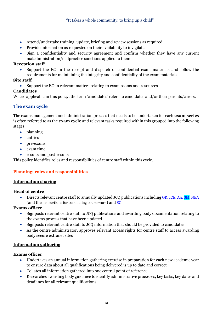- Attend/undertake training, update, briefing and review sessions as required
- Provide information as requested on their availability to invigilate
- Sign a confidentiality and security agreement and confirm whether they have any current maladministration/malpractice sanctions applied to them

## **Reception staff**

• Support the EO in the receipt and dispatch of confidential exam materials and follow the requirements for maintaining the integrity and confidentiality of the exam materials

## **Site staff**

• Support the EO in relevant matters relating to exam rooms and resources

## **Candidates**

Where applicable in this policy, the term 'candidates' refers to candidates and/or their parents/carers.

# <span id="page-12-0"></span>**The exam cycle**

The exams management and administration process that needs to be undertaken for each **exam series** is often referred to as the **exam cycle** and relevant tasks required within this grouped into the following stages:

- planning
- entries
- pre-exams
- exam time
- results and post-results

<span id="page-12-1"></span>This policy identifies roles and responsibilities of centre staff within this cycle.

# **Planning: roles and responsibilities**

## <span id="page-12-2"></span>**Information sharing**

## **Head of centre**

• Directs relevant centre staff to annually updated JCQ publications includin[g GR,](http://www.jcq.org.uk/exams-office/general-regulations) [ICE,](http://www.jcq.org.uk/exams-office/ice---instructions-for-conducting-examinations) [AA,](http://www.jcq.org.uk/exams-office/access-arrangements-and-special-consideration) [SM,](http://www.jcq.org.uk/exams-office/malpractice) [NEA](http://www.jcq.org.uk/exams-office/non-examination-assessments) (and the instructions for conducting coursework) and [SC](http://www.jcq.org.uk/exams-office/access-arrangements-and-special-consideration/regulations-and-guidance)

## **Exams officer**

- Signposts relevant centre staff to JCQ publications and awarding body documentation relating to the exams process that have been updated
- Signposts relevant centre staff to JCQ information that should be provided to candidates
- As the centre administrator, approves relevant access rights for centre staff to access awarding body secure extranet sites

## <span id="page-12-3"></span>**Information gathering**

- Undertakes an annual information gathering exercise in preparation for each new academic year to ensure data about all qualifications being delivered is up to date and correct
- Collates all information gathered into one central point of reference
- Researches awarding body guidance to identify administrative processes, key tasks, key dates and deadlines for all relevant qualifications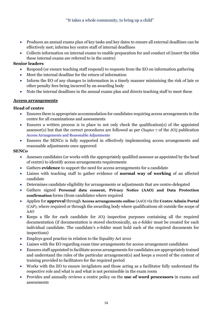- Produces an annual exams plan of key tasks and key dates to ensure all external deadlines can be effectively met; informs key centre staff of internal deadlines
- Collects information on internal exams to enable preparation for and conduct of (insert the titles these internal exams are referred to in the centre)

## **Senior leaders**

- Respond (or ensure teaching staff respond) to requests from the EO on information gathering
- Meet the internal deadline for the return of information
- Inform the EO of any changes to information in a timely manner minimising the risk of late or other penalty fees being incurred by an awarding body
- Note the internal deadlines in the annual exams plan and directs teaching staff to meet these

## <span id="page-13-0"></span>**Access arrangements**

## **Head of centre**

- Ensures there is appropriate accommodation for candidates requiring access arrangements in the centre for all examinations and assessments
- Ensures a written process is in place to not only check the qualification(s) of the appointed assessor(s) but that the correct procedures are followed as per Chapter 7 of the JCQ publication [Access Arrangements and Reasonable Adjustments](http://www.jcq.org.uk/exams-office/access-arrangements-and-special-consideration/regulations-and-guidance)
- Ensures the SENCo is fully supported in effectively implementing access arrangements and reasonable adjustments once approved

## **SENCo**

- Assesses candidates (or works with the appropriately qualified assessor as appointed by the head of centre) to identify access arrangements requirements
- Gathers **evidence** to support the need for access arrangements for a candidate
- Liaises with teaching staff to gather evidence of **normal way of working** of an affected candidate
- Determines candidate eligibility for arrangements or adjustments that are centre-delegated
- Gathers signed **Personal data consent, Privacy Notice (AAO) and Data Protection confirmation** forms (from candidates where required
- Applies for **approval** through **Access arrangements online** (AAO) via the **Centre Admin Portal** (CAP), where required or through the awarding body where qualifications sit outside the scope of AAO
- Keeps a file for each candidate for JCQ inspection purposes containing all the required documentation (if documentation is stored electronically, an e-folder must be created for each individual candidate. The candidate's e-folder must hold each of the required documents for inspections)
- Employs good practice in relation to the Equality Act 2010
- Liaises with the EO regarding exam time arrangements for access arrangement candidates
- Ensures staff appointed to facilitate access arrangements for candidates are appropriately trained and understand the rules of the particular arrangement(s) and keeps a record of the content of training provided to facilitators for the required period
- Works with the EO to ensure invigilators and those acting as a facilitator fully understand the respective role and what is and what is not permissible in the exam room
- Provides and annually reviews a centre policy on the **use of word processors** in exams and assessments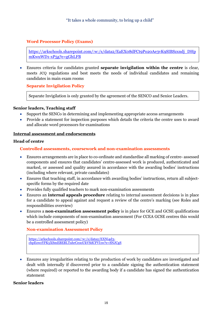## <span id="page-14-0"></span>**Word Processor Policy (Exams)**

[https://arkschools.sharepoint.com/:w:/s/data2/EaEX08dFCt9Po20Ae3vK9SIBSzxndj\\_DHp](https://arkschools.sharepoint.com/:w:/s/data2/EaEX08dFCt9Po20Ae3vK9SIBSzxndj_DHpmKwuWD1-xP5g?e=gGhLFB) [mKwuWD1-xP5g?e=gGhLFB](https://arkschools.sharepoint.com/:w:/s/data2/EaEX08dFCt9Po20Ae3vK9SIBSzxndj_DHpmKwuWD1-xP5g?e=gGhLFB)

• Ensures criteria for candidates granted **separate invigilation within the centre** is clear, meets JCQ regulations and best meets the needs of individual candidates and remaining candidates in main exam rooms

<span id="page-14-1"></span>**Separate Invigilation Policy**

Separate Invigilation is only granted by the agreement of the SENCO and Senior Leaders.

#### **Senior leaders, Teaching staff**

- Support the SENCo in determining and implementing appropriate access arrangements
- Provide a statement for inspection purposes which details the criteria the centre uses to award and allocate word processors for examinations

#### <span id="page-14-2"></span>**Internal assessment and endorsements**

#### <span id="page-14-3"></span>**Head of centre**

## **Controlled assessments, coursework and non-examination assessments**

- Ensures arrangements are in place to co-ordinate and standardise all marking of centre- assessed components and ensures that candidates' centre-assessed work is produced, authenticated and marked, or assessed and quality assured in accordance with the awarding bodies' instructions (including where relevant, private candidates)
- Ensures that teaching staff, in accordance with awarding bodies' instructions, return all subjectspecific forms by the required date
- Provides fully qualified teachers to mark non-examination assessments
- Ensures an **internal appeals procedure** relating to internal assessment decisions is in place for a candidate to appeal against and request a review of the centre's marking (see Roles and responsibilities overview)
- Ensures a **non-examination assessment policy** is in place for GCE and GCSE qualifications which include components of non-examination assessment (For CCEA GCSE centres this would be a controlled assessment policy)

#### <span id="page-14-4"></span>**Non-examination Assessment Policy**

```
https://arkschools.sharepoint.com/:w:/s/data2/EXNi4d3-
chpEowzYFK5XSmEBEBLTuhrCeooUkVSdCFVI1w?e=SNJCgS
```
• Ensures any irregularities relating to the production of work by candidates are investigated and dealt with internally if discovered prior to a candidate signing the authentication statement (where required) or reported to the awarding body if a candidate has signed the authentication statement

#### **Senior leaders**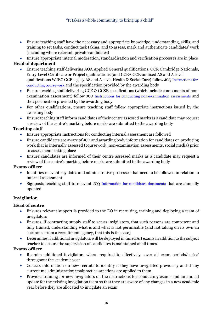- Ensure teaching staff have the necessary and appropriate knowledge, understanding, skills, and training to set tasks, conduct task taking, and to assess, mark and authenticate candidates' work (including where relevant, private candidates)
- Ensure appropriate internal moderation, standardisation and verification processes are in place

# **Head of department**

- Ensure teaching staff delivering AQA Applied General qualifications, OCR Cambridge Nationals, Entry Level Certificate or Project qualifications (and CCEA GCE unitised AS and A-level qualifications WJEC GCE legacy AS and A-level Health & Social Care) follow JCQ [Instructions for](http://www.jcq.org.uk/exams-office/coursework)  [conducting coursework](http://www.jcq.org.uk/exams-office/coursework) and the specification provided by the awarding body
- Ensure teaching staff delivering GCE & GCSE specifications (which include components of nonexamination assessment) follow JCQ [Instructions for conducting non-examination assessments](http://www.jcq.org.uk/exams-office/non-examination-assessments) and the specification provided by the awarding body
- For other qualifications, ensure teaching staff follow appropriate instructions issued by the awarding body
- Ensure teaching staff inform candidates of their centre assessed marks as a candidate may request a review of the centre's marking before marks are submitted to the awarding body

# **Teaching staff**

- Ensure appropriate instructions for conducting internal assessment are followed
- Ensure candidates are aware of JCQ and awarding body information for candidates on producing work that is internally assessed (coursework, non-examination assessments, social media) prior to assessments taking place
- Ensure candidates are informed of their centre assessed marks as a candidate may request a review of the centre's marking before marks are submitted to the awarding body

# **Exams officer**

- Identifies relevant key dates and administrative processes that need to be followed in relation to internal assessment
- Signposts teaching staff to relevant JCQ [Information for candidates documents](https://www.jcq.org.uk/exams-office/information-for-candidates-documents/) that are annually updated

# <span id="page-15-0"></span>**Invigilation**

# **Head of centre**

- Ensures relevant support is provided to the EO in recruiting, training and deploying a team of invigilators
- Ensures, if contracting supply staff to act as invigilators, that such persons are competent and fully trained, understanding what is and what is not permissible (and not taking on its own an assurance from a recruitment agency, that this is the case)
- Determines if additional invigilators will be deployed in timed Art exams in addition to the subject teacher to ensure the supervision of candidates is maintained at all times

- Recruits additional invigilators where required to effectively cover all exam periods/series' throughout the academic year
- Collects information on new recruits to identify if they have invigilated previously and if any current maladministration/malpractice sanctions are applied to them
- Provides training for new invigilators on the instructions for conducting exams and an annual update for the existing invigilation team so that they are aware of any changes in a new academic year before they are allocated to invigilate an exam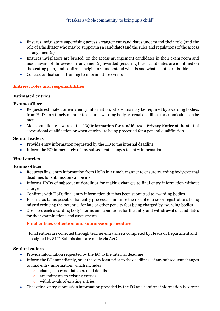- Ensures invigilators supervising access arrangement candidates understand their role (and the role of a facilitator who may be supporting a candidate) and the rules and regulations of the access arrangement(s)
- Ensures invigilators are briefed on the access arrangement candidates in their exam room and made aware of the access arrangement(s) awarded (ensuring these candidates are identified on the seating plan) and confirms invigilators understand what is and what is not permissible
- Collects evaluation of training to inform future events

## <span id="page-16-0"></span>**Entries: roles and responsibilities**

## <span id="page-16-1"></span>**Estimated entries**

## **Exams officer**

- Requests estimated or early entry information, where this may be required by awarding bodies, from HoDs in a timely manner to ensure awarding body external deadlines for submission can be met
- Makes candidates aware of the JCQ **Information for candidates – Privacy Notice** at the start of a vocational qualification or when entries are being processed for a general qualification

## **Senior leaders**

- Provide entry information requested by the EO to the internal deadline
- Inform the EO immediately of any subsequent changes to entry information

## <span id="page-16-2"></span>**Final entries**

## **Exams officer**

- Requests final entry information from HoDs in a timely manner to ensure awarding body external deadlines for submission can be met
- Informs HoDs of subsequent deadlines for making changes to final entry information without charge
- Confirms with HoDs final entry information that has been submitted to awarding bodies
- Ensures as far as possible that entry processes minimise the risk of entries or registrations being missed reducing the potential for late or other penalty fees being charged by awarding bodies
- <span id="page-16-3"></span>• Observes each awarding body's terms and conditions for the entry and withdrawal of candidates for their examinations and assessments

## **Final entries collection and submission procedure**

Final entries are collected through teacher entry sheets completed by Heads of Department and co-signed by SLT. Submissions are made via A2C.

## **Senior leaders**

- Provide information requested by the EO to the internal deadline
- Inform the EO immediately, or at the very least prior to the deadlines, of any subsequent changes to final entry information, which includes
	- o changes to candidate personal details
	- o amendments to existing entries
	- o withdrawals of existing entries
- Check final entry submission information provided by the EO and confirms information is correct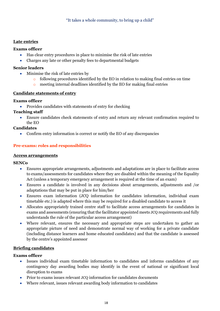## <span id="page-17-0"></span>**Late entries**

## **Exams officer**

- Has clear entry procedures in place to minimise the risk of late entries
- Charges any late or other penalty fees to departmental budgets

## **Senior leaders**

- Minimise the risk of late entries by
	- $\circ$  following procedures identified by the EO in relation to making final entries on time
	- o meeting internal deadlines identified by the EO for making final entries

## <span id="page-17-1"></span>**Candidate statements of entry**

## **Exams officer**

• Provides candidates with statements of entry for checking

# **Teaching staff**

• Ensure candidates check statements of entry and return any relevant confirmation required to the EO

## **Candidates**

• Confirm entry information is correct or notify the EO of any discrepancies

# <span id="page-17-2"></span>**Pre-exams: roles and responsibilities**

## <span id="page-17-3"></span>**Access arrangements**

## **SENCo**

- Ensures appropriate arrangements, adjustments and adaptations are in place to facilitate access to exams/assessments for candidates where they are disabled within the meaning of the Equality Act (unless a temporary emergency arrangement is required at the time of an exam)
- Ensures a candidate is involved in any decisions about arrangements, adjustments and /or adaptations that may be put in place for him/her
- Ensures exam information (JCQ information for candidates information, individual exam timetable etc.) is adapted where this may be required for a disabled candidate to access it
- Allocates appropriately trained centre staff to facilitate access arrangements for candidates in exams and assessments (ensuring that the facilitator appointed meets JCQ requirements and fully understands the rule of the particular access arrangement)
- Where relevant, ensures the necessary and appropriate steps are undertaken to gather an appropriate picture of need and demonstrate normal way of working for a private candidate (including distance learners and home educated candidates) and that the candidate is assessed by the centre's appointed assessor

## <span id="page-17-4"></span>**Briefing candidates**

- Issues individual exam timetable information to candidates and informs candidates of any contingency day awarding bodies may identify in the event of national or significant local disruption to exams
- Prior to exams issues relevant JCQ information for candidates documents
- Where relevant, issues relevant awarding body information to candidates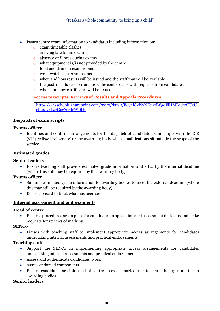- Issues centre exam information to candidates including information on:
	- o exam timetable clashes
	- o arriving late for an exam
	- o absence or illness during exams
	- $\circ$  what equipment is/is not provided by the centre
	- o food and drink in exam rooms
	- o wrist watches in exam rooms
	- o when and how results will be issued and the staff that will be available
	- o the post-results services and how the centre deals with requests from candidates
	- o when and how certificates will be issued

## <span id="page-18-0"></span>**Access to Scripts, Reviews of Results and Appeals Procedures**

[https://arkschools.sharepoint.com/:w:/s/data2/Eeyni8kfSvNKuzrlW5oFlHMB1d72FJxU](https://arkschools.sharepoint.com/:w:/s/data2/Eeyni8kfSvNKuzrlW5oFlHMB1d72FJxUcttqs-y4k9zGqg?e=tcWDtH) [cttqs-y4k9zGqg?e=tcWDtH](https://arkschools.sharepoint.com/:w:/s/data2/Eeyni8kfSvNKuzrlW5oFlHMB1d72FJxUcttqs-y4k9zGqg?e=tcWDtH)

## <span id="page-18-1"></span>**Dispatch of exam scripts**

## **Exams officer**

• Identifies and confirms arrangements for the dispatch of candidate exam scripts with the DfE (STA) 'yellow label service' or the awarding body where qualifications sit outside the scope of the service

## <span id="page-18-2"></span>**Estimated grades**

#### **Senior leaders**

• Ensure teaching staff provide estimated grade information to the EO by the internal deadline (where this still may be required by the awarding body)

## **Exams officer**

- Submits estimated grade information to awarding bodies to meet the external deadline (where this may still be required by the awarding body)
- Keeps a record to track what has been sent

#### <span id="page-18-3"></span>**Internal assessment and endorsements**

#### **Head of centre**

• Ensures procedures are in place for candidates to appeal internal assessment decisions and make requests for reviews of marking

#### **SENCo**

Liaises with teaching staff to implement appropriate access arrangements for candidates undertaking internal assessments and practical endorsements

## **Teaching staff**

- Support the SENCo in implementing appropriate access arrangements for candidates undertaking internal assessments and practical endorsements
- Assess and authenticate candidates' work
- Assess endorsed components
- Ensure candidates are informed of centre assessed marks prior to marks being submitted to awarding bodies

#### **Senior leaders**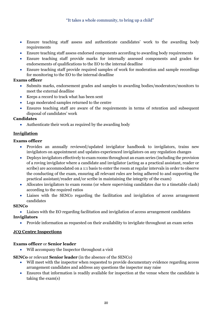## "It takes a whole community, to bring up a child"

- Ensure teaching staff assess and authenticate candidates' work to the awarding body requirements
- Ensure teaching staff assess endorsed components according to awarding body requirements
- Ensure teaching staff provide marks for internally assessed components and grades for endorsements of qualifications to the EO to the internal deadline
- Ensure teaching staff provide required samples of work for moderation and sample recordings for monitoring to the EO to the internal deadline

## **Exams officer**

- Submits marks, endorsement grades and samples to awarding bodies/moderators/monitors to meet the external deadline
- Keeps a record to track what has been sent
- Logs moderated samples returned to the centre
- Ensures teaching staff are aware of the requirements in terms of retention and subsequent disposal of candidates' work

## **Candidates**

• Authenticate their work as required by the awarding body

## <span id="page-19-0"></span>**Invigilation**

## **Exams officer**

- Provides an annually reviewed/updated invigilator handbook to invigilators, trains new invigilators on appointment and updates experienced invigilators on any regulation changes
- Deploys invigilators effectively to exam rooms throughout an exam series (including the provision of a roving invigilator where a candidate and invigilator (acting as a practical assistant, reader or scribe) are accommodated on a 1:1 basis to enter the room at regular intervals in order to observe the conducting of the exam, ensuring all relevant rules are being adhered to and supporting the practical assistant/reader and/or scribe in maintaining the integrity of the exam)
- Allocates invigilators to exam rooms (or where supervising candidates due to a timetable clash) according to the required ratios
- Liaises with the SENCo regarding the facilitation and invigilation of access arrangement candidates

#### **SENCo**

• Liaises with the EO regarding facilitation and invigilation of access arrangement candidates **Invigilators**

• Provide information as requested on their availability to invigilate throughout an exam series

## <span id="page-19-1"></span>**JCQ Centre Inspections**

#### **Exams officer** or **Senior leader**

• Will accompany the Inspector throughout a visit

**SENCo** or relevant **Senior leader** (in the absence of the SENCo)

- Will meet with the inspector when requested to provide documentary evidence regarding access arrangement candidates and address any questions the inspector may raise
- Ensures that information is readily available for inspection at the venue where the candidate is taking the exam(s)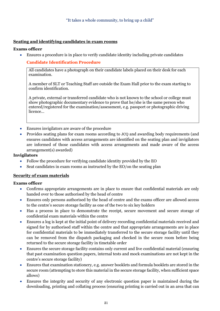## <span id="page-20-0"></span>**Seating and identifying candidates in exam rooms**

## **Exams officer**

<span id="page-20-1"></span>• Ensures a procedure is in place to verify candidate identity including private candidates

## **Candidate Identification Procedure**

All candidates have a photograph on their candidate labels placed on their desk for each examination.

A member of SLT or Teaching Staff are outside the Exam Hall prior to the exam starting to confirm identification.

A private, external or transferred candidate who is not known to the school or college must show photographic documentary evidence to prove that he/she is the same person who entered/registered for the examination/assessment, e.g. passport or photographic driving licence…

- Ensures invigilators are aware of the procedure
- Provides seating plans for exam rooms according to JCQ and awarding body requirements (and ensures candidates with access arrangements are identified on the seating plan and invigilators are informed of those candidates with access arrangements and made aware of the access arrangement(s) awarded)

## **Invigilators**

- Follow the procedure for verifying candidate identity provided by the EO
- Seat candidates in exam rooms as instructed by the EO/on the seating plan

#### <span id="page-20-2"></span>**Security of exam materials**

- Confirms appropriate arrangements are in place to ensure that confidential materials are only handed over to those authorised by the head of centre
- Ensures only persons authorised by the head of centre and the exams officer are allowed access to the centre's secure storage facility as one of the two to six key holders
- Has a process in place to demonstrate the receipt, secure movement and secure storage of confidential exam materials within the centre
- Ensures a log is kept at the initial point of delivery recording confidential materials received and signed for by authorised staff within the centre and that appropriate arrangements are in place for confidential materials to be immediately transferred to the secure storage facility until they can be removed from the dispatch packaging and checked in the secure room before being returned to the secure storage facility in timetable order
- Ensures the secure storage facility contains only current and live confidential material (ensuring that past examination question papers, internal tests and mock examinations are not kept in the centre's secure storage facility)
- Ensures that examination stationery, e.g. answer booklets and formula booklets are stored in the secure room (attempting to store this material in the secure storage facility, when sufficient space allows)
- Ensures the integrity and security of any electronic question paper is maintained during the downloading, printing and collating process (ensuring printing is carried out in an area that can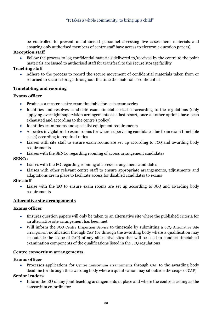be controlled to prevent unauthorised personnel accessing live assessment materials and ensuring only authorised members of centre staff have access to electronic question papers)

## **Reception staff**

• Follow the process to log confidential materials delivered to/received by the centre to the point materials are issued to authorised staff for transferal to the secure storage facility

## **Teaching staff**

Adhere to the process to record the secure movement of confidential materials taken from or returned to secure storage throughout the time the material is confidential

## <span id="page-21-0"></span>**Timetabling and rooming**

## **Exams officer**

- Produces a master centre exam timetable for each exam series
- Identifies and resolves candidate exam timetable clashes according to the regulations (only applying overnight supervision arrangements as a last resort, once all other options have been exhausted and according to the centre's policy)
- Identifies exam rooms and specialist equipment requirements
- Allocates invigilators to exam rooms (or where supervising candidates due to an exam timetable clash) according to required ratios
- Liaises with site staff to ensure exam rooms are set up according to JCQ and awarding body requirements
- Liaises with the SENCo regarding rooming of access arrangement candidates

## **SENCo**

- Liaises with the EO regarding rooming of access arrangement candidates
- Liaises with other relevant centre staff to ensure appropriate arrangements, adjustments and adaptations are in place to facilitate access for disabled candidates to exams

## **Site staff**

• Liaise with the EO to ensure exam rooms are set up according to JCQ and awarding body requirements

#### <span id="page-21-1"></span>**Alternative site arrangements**

#### **Exams officer**

- Ensures question papers will only be taken to an alternative site where the published criteria for an alternative site arrangement has been met
- Will inform the JCQ Centre Inspection Service to timescale by submitting a JCQ Alternative Site arrangement notification through CAP (or through the awarding body where a qualification may sit outside the scope of CAP) of any alternative sites that will be used to conduct timetabled examination components of the qualifications listed in the JCQ regulations

#### <span id="page-21-2"></span>**Centre consortium arrangements**

#### **Exams officer**

• Processes applications for Centre Consortium arrangements through CAP to the awarding body deadline (or through the awarding body where a qualification may sit outside the scope of CAP)

#### **Senior leaders**

• Inform the EO of any joint teaching arrangements in place and where the centre is acting as the consortium co-ordinator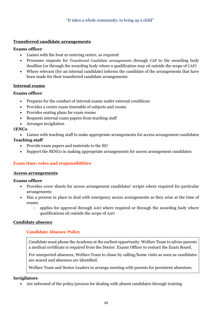## <span id="page-22-0"></span>**Transferred candidate arrangements**

#### **Exams officer**

- Liaises with the host or entering centre, as required
- Processes requests for Transferred Candidate arrangements through CAP to the awarding body deadline (or through the awarding body where a qualification may sit outside the scope of CAP)
- Where relevant (for an internal candidate) informs the candidate of the arrangements that have been made for their transferred candidate arrangements

## <span id="page-22-1"></span>**Internal exams**

## **Exams officer**

- Prepares for the conduct of internal exams under external conditions
- Provides a centre exam timetable of subjects and rooms
- Provides seating plans for exam rooms
- Requests internal exam papers from teaching staff
- Arranges invigilation

## S**ENCo**

- Liaises with teaching staff to make appropriate arrangements for access arrangement candidates **Teaching staff** 
	- Provide exam papers and materials to the EO
	- Support the SENCo in making appropriate arrangements for access arrangement candidates

## <span id="page-22-2"></span>**Exam time: roles and responsibilities**

#### <span id="page-22-3"></span>**Access arrangements**

#### **Exams officer**

- Provides cover sheets for access arrangement candidates' scripts where required for particular arrangements
- Has a process in place to deal with emergency access arrangements as they arise at the time of exams
	- o applies for approval through AAO where required or through the awarding body where qualifications sit outside the scope of AAO

## <span id="page-22-5"></span><span id="page-22-4"></span>**Candidate absence**

## **Candidate Absence Policy**

Candidate must phone the Academy at the earliest opportunity. Welfare Team to advise parents a medical certificate is required from the Doctor. Exams Officer to contact the Exam Board.

For unreported absences, Welfare Team to chase by calling/home visits as soon as candidates are seared and absences are identified.

Welfare Team and Senior Leaders to arrange meeting with parents for persistent absentees.

#### **Invigilators**

• Are informed of the policy/process for dealing with absent candidates through training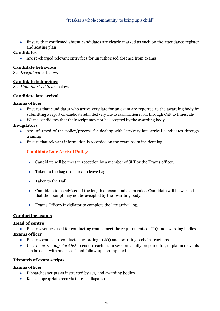• Ensure that confirmed absent candidates are clearly marked as such on the attendance register and seating plan

## **Candidates**

• Are re-charged relevant entry fees for unauthorised absence from exams

#### <span id="page-23-0"></span>**Candidate behaviour**

See *Irregularities* below.

#### <span id="page-23-1"></span>**Candidate belongings**

See *Unauthorised items* below.

#### <span id="page-23-2"></span>**Candidate late arrival**

## **Exams officer**

- Ensures that candidates who arrive very late for an exam are reported to the awarding body by submitting a report on candidate admitted very late to examination room through CAP to timescale
- Warns candidates that their script may not be accepted by the awarding body

## **Invigilators**

- Are informed of the policy/process for dealing with late/very late arrival candidates through training
- <span id="page-23-3"></span>• Ensure that relevant information is recorded on the exam room incident log

## **Candidate Late Arrival Policy**

- Candidate will be meet in reception by a member of SLT or the Exams officer.
- Taken to the bag drop area to leave bag.
- Taken to the Hall.
- Candidate to be advised of the length of exam and exam rules. Candidate will be warned that their script may not be accepted by the awarding body.
- Exams Officer/Invigilator to complete the late arrival log.

#### <span id="page-23-4"></span>**Conducting exams**

#### **Head of centre**

• Ensures venues used for conducting exams meet the requirements of JCQ and awarding bodies

## **Exams officer**

- Ensures exams are conducted according to JCQ and awarding body instructions
- Uses an *exam day checklist* to ensure each exam session is fully prepared for, unplanned events can be dealt with and associated follow-up is completed

#### <span id="page-23-5"></span>**Dispatch of exam scripts**

- Dispatches scripts as instructed by JCQ and awarding bodies
- Keeps appropriate records to track dispatch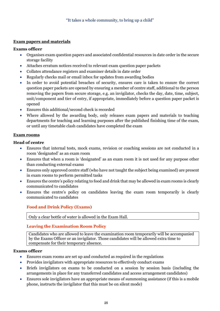## <span id="page-24-0"></span>**Exam papers and materials**

## **Exams officer**

- Organises exam question papers and associated confidential resources in date order in the secure storage facility
- Attaches erratum notices received to relevant exam question paper packets
- Collates attendance registers and examiner details in date order
- Regularly checks mail or email inbox for updates from awarding bodies
- In order to avoid potential breaches of security, ensures care is taken to ensure the correct question paper packets are opened by ensuring a member of centre staff, additional to the person removing the papers from secure storage, e.g. an invigilator, checks the day, date, time, subject, unit/component and tier of entry, if appropriate, immediately before a question paper packet is opened
- Ensures this additional/second check is recorded
- Where allowed by the awarding body, only releases exam papers and materials to teaching departments for teaching and learning purposes after the published finishing time of the exam, or until any timetable clash candidates have completed the exam

## <span id="page-24-1"></span>**Exam rooms**

## **Head of centre**

- Ensures that internal tests, mock exams, revision or coaching sessions are not conducted in a room 'designated' as an exam room
- Ensures that when a room is 'designated' as an exam room it is not used for any purpose other than conducting external exams
- Ensures only approved centre staff (who have not taught the subject being examined) are present in exam rooms to perform permitted tasks
- Ensures the centre's policy relating to food and drink that may be allowed in exam rooms is clearly communicated to candidates
- <span id="page-24-2"></span>• Ensures the centre's policy on candidates leaving the exam room temporarily is clearly communicated to candidates

# **Food and Drink Policy (Exams)**

Only a clear bottle of water is allowed in the Exam Hall.

# <span id="page-24-3"></span>**Leaving the Examination Room Policy**

Candidates who are allowed to leave the examination room temporarily will be accompanied by the Exams Officer or an invigilator. Those candidates will be allowed extra time to compensate for their temporary absence.

- Ensures exam rooms are set up and conducted as required in the regulations
- Provides invigilators with appropriate resources to effectively conduct exams
- Briefs invigilators on exams to be conducted on a session by session basis (including the arrangements in place for any transferred candidates and access arrangement candidates)
- Ensures sole invigilators have an appropriate means of summoning assistance (if this is a mobile phone, instructs the invigilator that this must be on silent mode)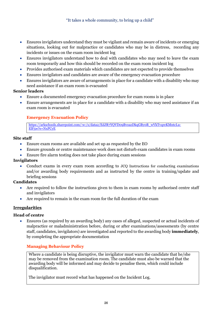- Ensures invigilators understand they must be vigilant and remain aware of incidents or emerging situations, looking out for malpractice or candidates who may be in distress, recording any incidents or issues on the exam room incident log
- Ensures invigilators understand how to deal with candidates who may need to leave the exam room temporarily and how this should be recorded on the exam room incident log
- Provides authorised exam materials which candidates are not expected to provide themselves
- Ensures invigilators and candidates are aware of the emergency evacuation procedure
- Ensures invigilators are aware of arrangements in place for a candidate with a disability who may need assistance if an exam room is evacuated

#### **Senior leaders**

- Ensure a documented emergency evacuation procedure for exam rooms is in place
- <span id="page-25-0"></span>• Ensure arrangements are in place for a candidate with a disability who may need assistance if an exam room is evacuated

## **Emergency Evacuation Policy**

[https://arkschools.sharepoint.com/:w:/s/data2/EdJR7YQVD09BvoazDkqGBy0B\\_wVkTvqreKMntcLu-](https://arkschools.sharepoint.com/:w:/s/data2/EdJR7YQVD09BvoazDkqGBy0B_wVkTvqreKMntcLu-ElF5w?e=NxPCyE)[ElF5w?e=NxPCyE](https://arkschools.sharepoint.com/:w:/s/data2/EdJR7YQVD09BvoazDkqGBy0B_wVkTvqreKMntcLu-ElF5w?e=NxPCyE)

#### **Site staff**

- Ensure exam rooms are available and set up as requested by the EO
- Ensure grounds or centre maintenance work does not disturb exam candidates in exam rooms
- Ensure fire alarm testing does not take place during exam sessions

#### **Invigilators**

• Conduct exams in every exam room according to JCQ Instructions for conducting examinations and/or awarding body requirements and as instructed by the centre in training/update and briefing sessions

## **Candidates**

- Are required to follow the instructions given to them in exam rooms by authorised centre staff and invigilators
- Are required to remain in the exam room for the full duration of the exam

## <span id="page-25-1"></span>**Irregularities**

#### **Head of centre**

• Ensures (as required by an awarding body) any cases of alleged, suspected or actual incidents of malpractice or maladministration before, during or after examinations/assessments (by centre staff, candidates, invigilators) are investigated and reported to the awarding body **immediately**, by completing the appropriate documentation

## <span id="page-25-2"></span>**Managing Behaviour Policy**

Where a candidate is being disruptive, the invigilator must warn the candidate that he/she may be removed from the examination room. The candidate must also be warned that the awarding body will be informed and may decide to penalise them, which could include disqualification.

The invigilator must record what has happened on the Incident Log.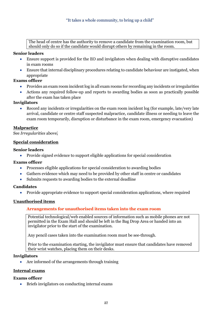The head of centre has the authority to remove a candidate from the examination room, but should only do so if the candidate would disrupt others by remaining in the room.

## **Senior leaders**

- Ensure support is provided for the EO and invigilators when dealing with disruptive candidates in exam rooms
- Ensure that internal disciplinary procedures relating to candidate behaviour are instigated, when appropriate

## **Exams officer**

- Provides an exam room incident log in all exam rooms for recording any incidents or irregularities
- Actions any required follow-up and reports to awarding bodies as soon as practically possible after the exam has taken place

## **Invigilators**

• Record any incidents or irregularities on the exam room incident log (for example, late/very late arrival, candidate or centre staff suspected malpractice, candidate illness or needing to leave the exam room temporarily, disruption or disturbance in the exam room, emergency evacuation)

## <span id="page-26-0"></span>**Malpractice**

See *Irregularities* above.

## <span id="page-26-1"></span>**Special consideration**

## **Senior leaders**

• Provide signed evidence to support eligible applications for special consideration

#### **Exams officer**

- Processes eligible applications for special consideration to awarding bodies
- Gathers evidence which may need to be provided by other staff in centre or candidates
- Submits requests to awarding bodies to the external deadline

#### **Candidates**

• Provide appropriate evidence to support special consideration applications, where required

## <span id="page-26-3"></span><span id="page-26-2"></span>**Unauthorised items**

## **Arrangements for unauthorised items taken into the exam room**

Potential technological/web enabled sources of information such as mobile phones are not permitted in the Exam Hall and should be left in the Bag Drop Area or handed into an invigilator prior to the start of the examination.

Any pencil cases taken into the examination room must be see-through.

Prior to the examination starting, the invigilator must ensure that candidates have removed their wrist watches, placing them on their desks.

#### **Invigilators**

• Are informed of the arrangements through training

#### <span id="page-26-4"></span>**Internal exams**

#### **Exams officer**

• Briefs invigilators on conducting internal exams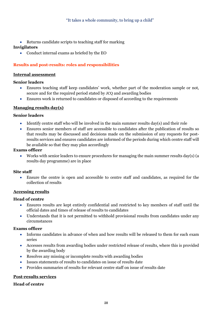• Returns candidate scripts to teaching staff for marking

## **Invigilators**

• Conduct internal exams as briefed by the EO

## <span id="page-27-0"></span>**Results and post-results: roles and responsibilities**

#### <span id="page-27-1"></span>**Internal assessment**

#### **Senior leaders**

- Ensures teaching staff keep candidates' work, whether part of the moderation sample or not, secure and for the required period stated by JCQ and awarding bodies
- Ensures work is returned to candidates or disposed of according to the requirements

## <span id="page-27-2"></span>**Managing results day(s)**

#### **Senior leaders**

- Identify centre staff who will be involved in the main summer results day(s) and their role
- Ensures senior members of staff are accessible to candidates after the publication of results so that results may be discussed and decisions made on the submission of any requests for postresults services and ensures candidates are informed of the periods during which centre staff will be available so that they may plan accordingly

#### **Exams officer**

• Works with senior leaders to ensure procedures for managing the main summer results day(s) (a results day programme) are in place

#### **Site staff**

• Ensure the centre is open and accessible to centre staff and candidates, as required for the collection of results

#### <span id="page-27-3"></span>**Accessing results**

#### **Head of centre**

- Ensures results are kept entirely confidential and restricted to key members of staff until the official dates and times of release of results to candidates
- Understands that it is not permitted to withhold provisional results from candidates under any circumstances

#### **Exams officer**

- Informs candidates in advance of when and how results will be released to them for each exam series
- Accesses results from awarding bodies under restricted release of results, where this is provided by the awarding body
- Resolves any missing or incomplete results with awarding bodies
- Issues statements of results to candidates on issue of results date
- Provides summaries of results for relevant centre staff on issue of results date

#### <span id="page-27-4"></span>**Post-results services**

#### **Head of centre**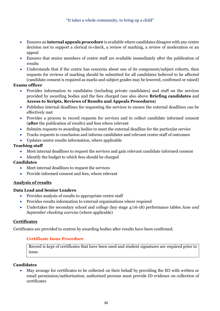- Ensures an **internal appeals procedure** is available where candidates disagree with any centre decision not to support a clerical re-check, a review of marking, a review of moderation or an appeal
- Ensures that senior members of centre staff are available immediately after the publication of results
- Understands that if the centre has concerns about one of its component/subject cohorts, then requests for reviews of marking should be submitted for all candidates believed to be affected (candidate consent is required as marks and subject grades may be lowered, confirmed or raised)

## **Exams officer**

- Provides information to candidates (including private candidates) and staff on the services provided by awarding bodies and the fees charged (see also above **Briefing candidates** and **Access to Scripts, Reviews of Results and Appeals Procedures**)
- Publishes internal deadlines for requesting the services to ensure the external deadlines can be effectively met
- Provides a process to record requests for services and to collect candidate informed consent (**after** the publication of results) and fees where relevant
- Submits requests to awarding bodies to meet the external deadline for the particular service
- Tracks requests to conclusion and informs candidates and relevant centre staff of outcomes
- Updates centre results information, where applicable

## **Teaching staff**

- Meet internal deadlines to request the services and gain relevant candidate informed consent
- Identify the budget to which fees should be charged

#### **Candidates**

- Meet internal deadlines to request the services
- Provide informed consent and fees, where relevant

## <span id="page-28-0"></span>**Analysis of results**

#### **Data Lead and Senior Leaders**

- Provides analysis of results to appropriate centre staff
- Provides results information to external organisations where required
- Undertakes the secondary school and college (key stage 4/16-18) performance tables *June and September checking exercise* (where applicable)

#### <span id="page-28-1"></span>**Certificates**

<span id="page-28-2"></span>Certificates are provided to centres by awarding bodies after results have been confirmed.

#### **Certificate Issue Procedure**

Record is kept of certificates that have been used and student signatures are required prior to issue.

#### **Candidates**

• May arrange for certificates to be collected on their behalf by providing the EO with written or email permission/authorisation; authorised persons must provide ID evidence on collection of certificates